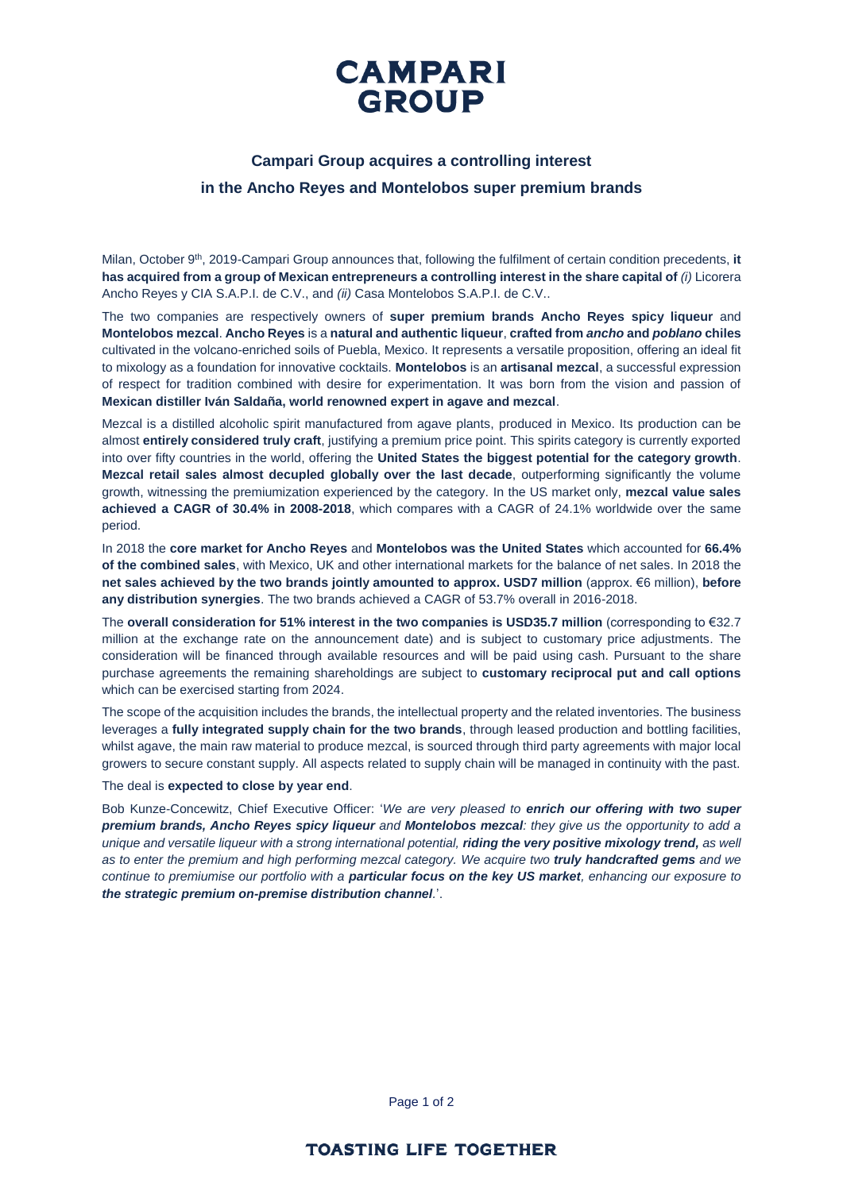

## **Campari Group acquires a controlling interest in the Ancho Reyes and Montelobos super premium brands**

Milan, October 9<sup>th</sup>, 2019-Campari Group announces that, following the fulfilment of certain condition precedents, it **has acquired from a group of Mexican entrepreneurs a controlling interest in the share capital of** *(i)* Licorera Ancho Reyes y CIA S.A.P.I. de C.V., and *(ii)* Casa Montelobos S.A.P.I. de C.V..

The two companies are respectively owners of **super premium brands Ancho Reyes spicy liqueur** and **Montelobos mezcal**. **Ancho Reyes** is a **natural and authentic liqueur**, **crafted from** *ancho* **and** *poblano* **chiles** cultivated in the volcano-enriched soils of Puebla, Mexico. It represents a versatile proposition, offering an ideal fit to mixology as a foundation for innovative cocktails. **Montelobos** is an **artisanal mezcal**, a successful expression of respect for tradition combined with desire for experimentation. It was born from the vision and passion of **Mexican distiller Iván Saldaña, world renowned expert in agave and mezcal**.

Mezcal is a distilled alcoholic spirit manufactured from agave plants, produced in Mexico. Its production can be almost **entirely considered truly craft**, justifying a premium price point. This spirits category is currently exported into over fifty countries in the world, offering the **United States the biggest potential for the category growth**. **Mezcal retail sales almost decupled globally over the last decade**, outperforming significantly the volume growth, witnessing the premiumization experienced by the category. In the US market only, **mezcal value sales achieved a CAGR of 30.4% in 2008-2018**, which compares with a CAGR of 24.1% worldwide over the same period.

In 2018 the **core market for Ancho Reyes** and **Montelobos was the United States** which accounted for **66.4% of the combined sales**, with Mexico, UK and other international markets for the balance of net sales. In 2018 the **net sales achieved by the two brands jointly amounted to approx. USD7 million** (approx. €6 million), **before any distribution synergies**. The two brands achieved a CAGR of 53.7% overall in 2016-2018.

The **overall consideration for 51% interest in the two companies is USD35.7 million** (corresponding to €32.7 million at the exchange rate on the announcement date) and is subject to customary price adjustments. The consideration will be financed through available resources and will be paid using cash. Pursuant to the share purchase agreements the remaining shareholdings are subject to **customary reciprocal put and call options** which can be exercised starting from 2024.

The scope of the acquisition includes the brands, the intellectual property and the related inventories. The business leverages a **fully integrated supply chain for the two brands**, through leased production and bottling facilities, whilst agave, the main raw material to produce mezcal, is sourced through third party agreements with major local growers to secure constant supply. All aspects related to supply chain will be managed in continuity with the past.

#### The deal is **expected to close by year end**.

Bob Kunze-Concewitz, Chief Executive Officer: '*We are very pleased to enrich our offering with two super premium brands, Ancho Reyes spicy liqueur and Montelobos mezcal: they give us the opportunity to add a unique and versatile liqueur with a strong international potential, riding the very positive mixology trend, as well as to enter the premium and high performing mezcal category. We acquire two truly handcrafted gems and we continue to premiumise our portfolio with a particular focus on the key US market, enhancing our exposure to the strategic premium on-premise distribution channel.*'.

Page 1 of 2

### **TOASTING LIFE TOGETHER**